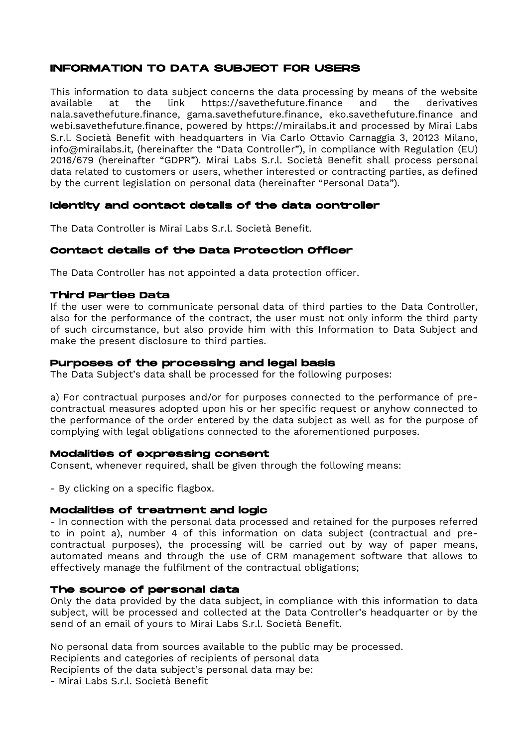# INFORMATION TO DATA SUBJECT FOR USERS

This information to data subject concerns the data processing by means of the website available at the link https://savethefuture.finance and the derivatives nala.savethefuture.finance, gama.savethefuture.finance, eko.savethefuture.finance and webi.savethefuture.finance, powered by https://mirailabs.it and processed by Mirai Labs S.r.l. Società Benefit with headquarters in Via Carlo Ottavio Carnaggia 3, 20123 Milano, info@mirailabs.it, (hereinafter the "Data Controller"), in compliance with Regulation (EU) 2016/679 (hereinafter "GDPR"). Mirai Labs S.r.l. Società Benefit shall process personal data related to customers or users, whether interested or contracting parties, as defined by the current legislation on personal data (hereinafter "Personal Data").

## Identity and contact details of the data controller

The Data Controller is Mirai Labs S.r.l. Società Benefit.

## Contact details of the Data Protection Officer

The Data Controller has not appointed a data protection officer.

## Third Parties Data

If the user were to communicate personal data of third parties to the Data Controller, also for the performance of the contract, the user must not only inform the third party of such circumstance, but also provide him with this Information to Data Subject and make the present disclosure to third parties.

## Purposes of the processing and legal basis

The Data Subject's data shall be processed for the following purposes:

a) For contractual purposes and/or for purposes connected to the performance of precontractual measures adopted upon his or her specific request or anyhow connected to the performance of the order entered by the data subject as well as for the purpose of complying with legal obligations connected to the aforementioned purposes.

## Modalities of expressing consent

Consent, whenever required, shall be given through the following means:

- By clicking on a specific flagbox.

## Modalities of treatment and logic

- In connection with the personal data processed and retained for the purposes referred to in point a), number 4 of this information on data subject (contractual and precontractual purposes), the processing will be carried out by way of paper means, automated means and through the use of CRM management software that allows to effectively manage the fulfilment of the contractual obligations;

## The source of personal data

Only the data provided by the data subject, in compliance with this information to data subject, will be processed and collected at the Data Controller's headquarter or by the send of an email of yours to Mirai Labs S.r.l. Società Benefit.

No personal data from sources available to the public may be processed.

Recipients and categories of recipients of personal data

Recipients of the data subject's personal data may be:

- Mirai Labs S.r.l. Società Benefit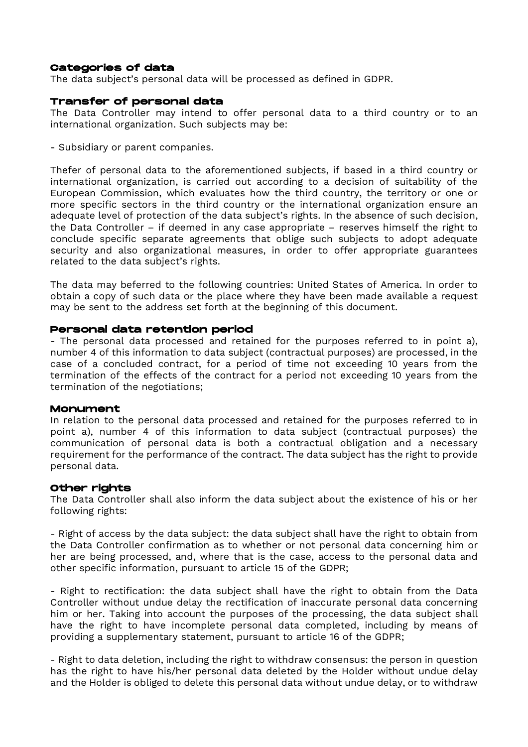#### Categories of data

The data subject's personal data will be processed as defined in GDPR.

#### Transfer of personal data

The Data Controller may intend to offer personal data to a third country or to an international organization. Such subjects may be:

- Subsidiary or parent companies.

Thefer of personal data to the aforementioned subjects, if based in a third country or international organization, is carried out according to a decision of suitability of the European Commission, which evaluates how the third country, the territory or one or more specific sectors in the third country or the international organization ensure an adequate level of protection of the data subject's rights. In the absence of such decision, the Data Controller – if deemed in any case appropriate – reserves himself the right to conclude specific separate agreements that oblige such subjects to adopt adequate security and also organizational measures, in order to offer appropriate guarantees related to the data subject's rights.

The data may beferred to the following countries: United States of America. In order to obtain a copy of such data or the place where they have been made available a request may be sent to the address set forth at the beginning of this document.

## Personal data retention period

- The personal data processed and retained for the purposes referred to in point a), number 4 of this information to data subject (contractual purposes) are processed, in the case of a concluded contract, for a period of time not exceeding 10 years from the termination of the effects of the contract for a period not exceeding 10 years from the termination of the negotiations;

#### Monument

In relation to the personal data processed and retained for the purposes referred to in point a), number 4 of this information to data subject (contractual purposes) the communication of personal data is both a contractual obligation and a necessary requirement for the performance of the contract. The data subject has the right to provide personal data.

#### Other rights

The Data Controller shall also inform the data subject about the existence of his or her following rights:

- Right of access by the data subject: the data subject shall have the right to obtain from the Data Controller confirmation as to whether or not personal data concerning him or her are being processed, and, where that is the case, access to the personal data and other specific information, pursuant to article 15 of the GDPR;

- Right to rectification: the data subject shall have the right to obtain from the Data Controller without undue delay the rectification of inaccurate personal data concerning him or her. Taking into account the purposes of the processing, the data subject shall have the right to have incomplete personal data completed, including by means of providing a supplementary statement, pursuant to article 16 of the GDPR;

- Right to data deletion, including the right to withdraw consensus: the person in question has the right to have his/her personal data deleted by the Holder without undue delay and the Holder is obliged to delete this personal data without undue delay, or to withdraw